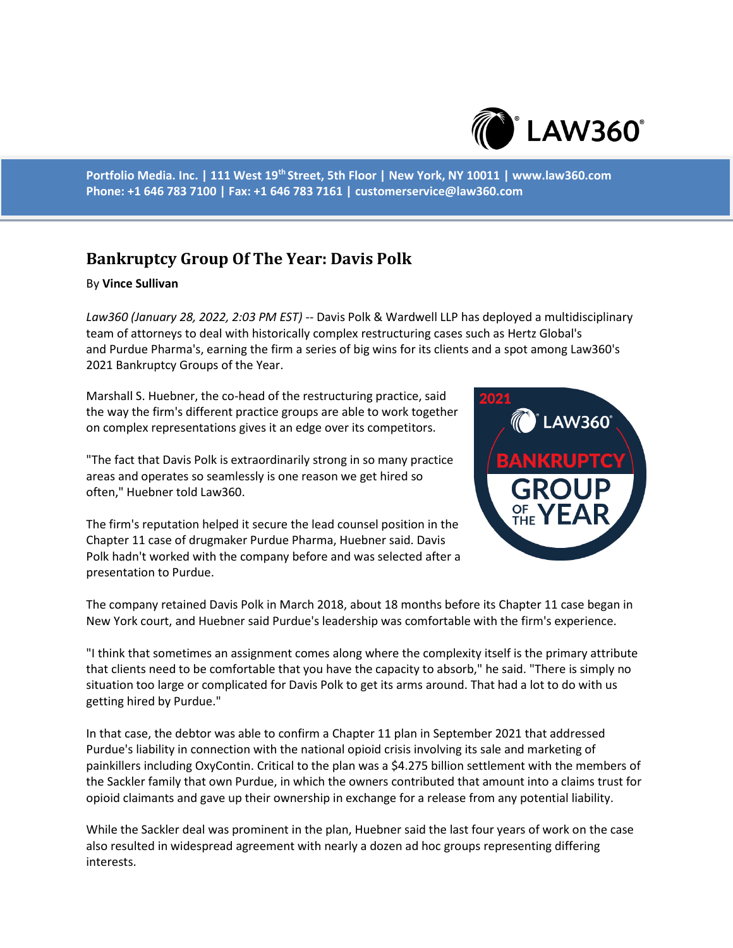

**Portfolio Media. Inc. | 111 West 19th Street, 5th Floor | New York, NY 10011 | www.law360.com Phone: +1 646 783 7100 | Fax: +1 646 783 7161 | customerservice@law360.com**

## **Bankruptcy Group Of The Year: Davis Polk**

## By **Vince Sullivan**

*Law360 (January 28, 2022, 2:03 PM EST)* -- Davis Polk & Wardwell LLP has deployed a multidisciplinary team of attorneys to deal with historically complex restructuring cases such as Hertz Global's and Purdue Pharma's, earning the firm a series of big wins for its clients and a spot among Law360's 2021 Bankruptcy Groups of the Year.

Marshall S. Huebner, the co-head of the restructuring practice, said the way the firm's different practice groups are able to work together on complex representations gives it an edge over its competitors.

"The fact that Davis Polk is extraordinarily strong in so many practice areas and operates so seamlessly is one reason we get hired so often," Huebner told Law360.

The firm's reputation helped it secure the lead counsel position in the Chapter 11 case of drugmaker Purdue Pharma, Huebner said. Davis Polk hadn't worked with the company before and was selected after a presentation to Purdue.



The company retained Davis Polk in March 2018, about 18 months before its Chapter 11 case began in New York court, and Huebner said Purdue's leadership was comfortable with the firm's experience.

"I think that sometimes an assignment comes along where the complexity itself is the primary attribute that clients need to be comfortable that you have the capacity to absorb," he said. "There is simply no situation too large or complicated for Davis Polk to get its arms around. That had a lot to do with us getting hired by Purdue."

In that case, the debtor was able to confirm a Chapter 11 plan in September 2021 that addressed Purdue's liability in connection with the national opioid crisis involving its sale and marketing of painkillers including OxyContin. Critical to the plan was a \$4.275 billion settlement with the members of the Sackler family that own Purdue, in which the owners contributed that amount into a claims trust for opioid claimants and gave up their ownership in exchange for a release from any potential liability.

While the Sackler deal was prominent in the plan, Huebner said the last four years of work on the case also resulted in widespread agreement with nearly a dozen ad hoc groups representing differing interests.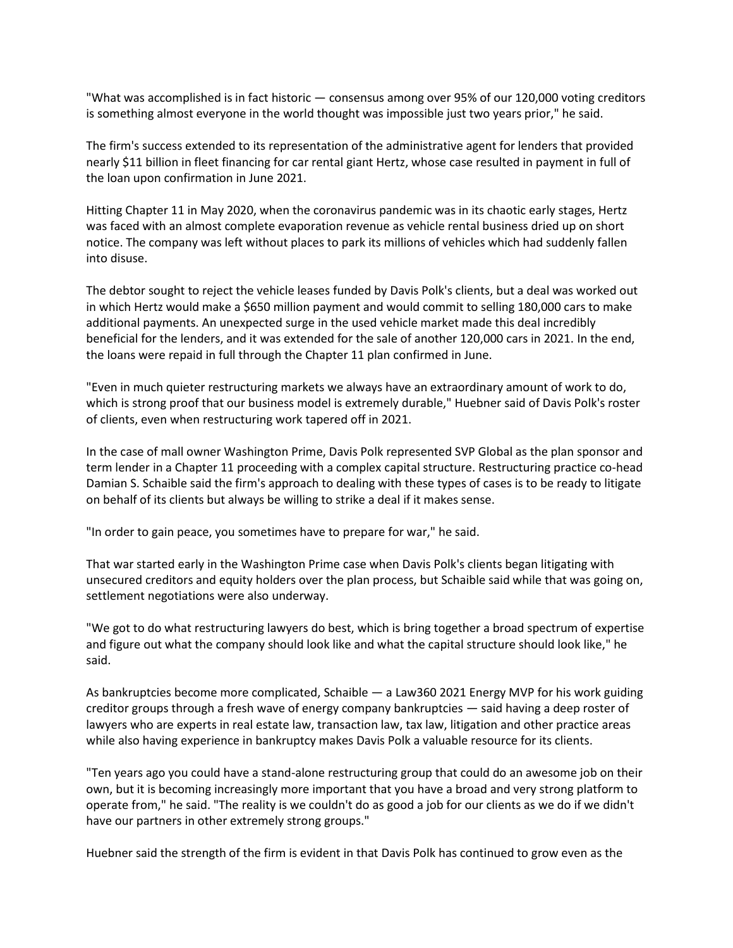"What was accomplished is in fact historic — consensus among over 95% of our 120,000 voting creditors is something almost everyone in the world thought was impossible just two years prior," he said.

The firm's success extended to its representation of the administrative agent for lenders that provided nearly \$11 billion in fleet financing for car rental giant Hertz, whose case resulted in payment in full of the loan upon confirmation in June 2021.

Hitting Chapter 11 in May 2020, when the coronavirus pandemic was in its chaotic early stages, Hertz was faced with an almost complete evaporation revenue as vehicle rental business dried up on short notice. The company was left without places to park its millions of vehicles which had suddenly fallen into disuse.

The debtor sought to reject the vehicle leases funded by Davis Polk's clients, but a deal was worked out in which Hertz would make a \$650 million payment and would commit to selling 180,000 cars to make additional payments. An unexpected surge in the used vehicle market made this deal incredibly beneficial for the lenders, and it was extended for the sale of another 120,000 cars in 2021. In the end, the loans were repaid in full through the Chapter 11 plan confirmed in June.

"Even in much quieter restructuring markets we always have an extraordinary amount of work to do, which is strong proof that our business model is extremely durable," Huebner said of Davis Polk's roster of clients, even when restructuring work tapered off in 2021.

In the case of mall owner Washington Prime, Davis Polk represented SVP Global as the plan sponsor and term lender in a Chapter 11 proceeding with a complex capital structure. Restructuring practice co-head Damian S. Schaible said the firm's approach to dealing with these types of cases is to be ready to litigate on behalf of its clients but always be willing to strike a deal if it makes sense.

"In order to gain peace, you sometimes have to prepare for war," he said.

That war started early in the Washington Prime case when Davis Polk's clients began litigating with unsecured creditors and equity holders over the plan process, but Schaible said while that was going on, settlement negotiations were also underway.

"We got to do what restructuring lawyers do best, which is bring together a broad spectrum of expertise and figure out what the company should look like and what the capital structure should look like," he said.

As bankruptcies become more complicated, Schaible — a Law360 2021 Energy MVP for his work guiding creditor groups through a fresh wave of energy company bankruptcies — said having a deep roster of lawyers who are experts in real estate law, transaction law, tax law, litigation and other practice areas while also having experience in bankruptcy makes Davis Polk a valuable resource for its clients.

"Ten years ago you could have a stand-alone restructuring group that could do an awesome job on their own, but it is becoming increasingly more important that you have a broad and very strong platform to operate from," he said. "The reality is we couldn't do as good a job for our clients as we do if we didn't have our partners in other extremely strong groups."

Huebner said the strength of the firm is evident in that Davis Polk has continued to grow even as the